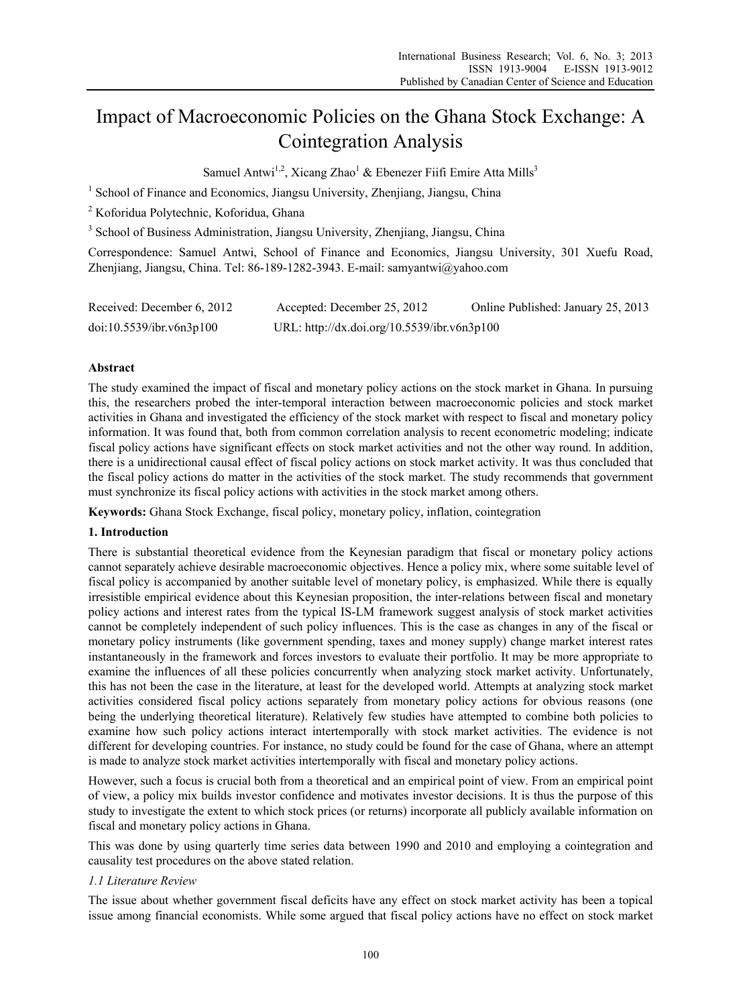# Impact of Macroeconomic Policies on the Ghana Stock Exchange: A Cointegration Analysis

Samuel Antwi<sup>1,2</sup>, Xicang Zhao<sup>1</sup> & Ebenezer Fiifi Emire Atta Mills<sup>3</sup>

<sup>1</sup> School of Finance and Economics, Jiangsu University, Zhenjiang, Jiangsu, China

<sup>2</sup> Koforidua Polytechnic, Koforidua, Ghana

<sup>3</sup> School of Business Administration, Jiangsu University, Zhenjiang, Jiangsu, China

Correspondence: Samuel Antwi, School of Finance and Economics, Jiangsu University, 301 Xuefu Road, Zhenjiang, Jiangsu, China. Tel: 86-189-1282-3943. E-mail: samyantwi@yahoo.com

| Received: December 6, 2012 | Accepted: December 25, 2012                 | Online Published: January 25, 2013 |
|----------------------------|---------------------------------------------|------------------------------------|
| doi:10.5539/ibr.v6n3p100   | URL: http://dx.doi.org/10.5539/ibr.v6n3p100 |                                    |

# **Abstract**

The study examined the impact of fiscal and monetary policy actions on the stock market in Ghana. In pursuing this, the researchers probed the inter-temporal interaction between macroeconomic policies and stock market activities in Ghana and investigated the efficiency of the stock market with respect to fiscal and monetary policy information. It was found that, both from common correlation analysis to recent econometric modeling; indicate fiscal policy actions have significant effects on stock market activities and not the other way round. In addition, there is a unidirectional causal effect of fiscal policy actions on stock market activity. It was thus concluded that the fiscal policy actions do matter in the activities of the stock market. The study recommends that government must synchronize its fiscal policy actions with activities in the stock market among others.

**Keywords:** Ghana Stock Exchange, fiscal policy, monetary policy, inflation, cointegration

# **1. Introduction**

There is substantial theoretical evidence from the Keynesian paradigm that fiscal or monetary policy actions cannot separately achieve desirable macroeconomic objectives. Hence a policy mix, where some suitable level of fiscal policy is accompanied by another suitable level of monetary policy, is emphasized. While there is equally irresistible empirical evidence about this Keynesian proposition, the inter-relations between fiscal and monetary policy actions and interest rates from the typical IS-LM framework suggest analysis of stock market activities cannot be completely independent of such policy influences. This is the case as changes in any of the fiscal or monetary policy instruments (like government spending, taxes and money supply) change market interest rates instantaneously in the framework and forces investors to evaluate their portfolio. It may be more appropriate to examine the influences of all these policies concurrently when analyzing stock market activity. Unfortunately, this has not been the case in the literature, at least for the developed world. Attempts at analyzing stock market activities considered fiscal policy actions separately from monetary policy actions for obvious reasons (one being the underlying theoretical literature). Relatively few studies have attempted to combine both policies to examine how such policy actions interact intertemporally with stock market activities. The evidence is not different for developing countries. For instance, no study could be found for the case of Ghana, where an attempt is made to analyze stock market activities intertemporally with fiscal and monetary policy actions.

However, such a focus is crucial both from a theoretical and an empirical point of view. From an empirical point of view, a policy mix builds investor confidence and motivates investor decisions. It is thus the purpose of this study to investigate the extent to which stock prices (or returns) incorporate all publicly available information on fiscal and monetary policy actions in Ghana.

This was done by using quarterly time series data between 1990 and 2010 and employing a cointegration and causality test procedures on the above stated relation.

## *1.1 Literature Review*

The issue about whether government fiscal deficits have any effect on stock market activity has been a topical issue among financial economists. While some argued that fiscal policy actions have no effect on stock market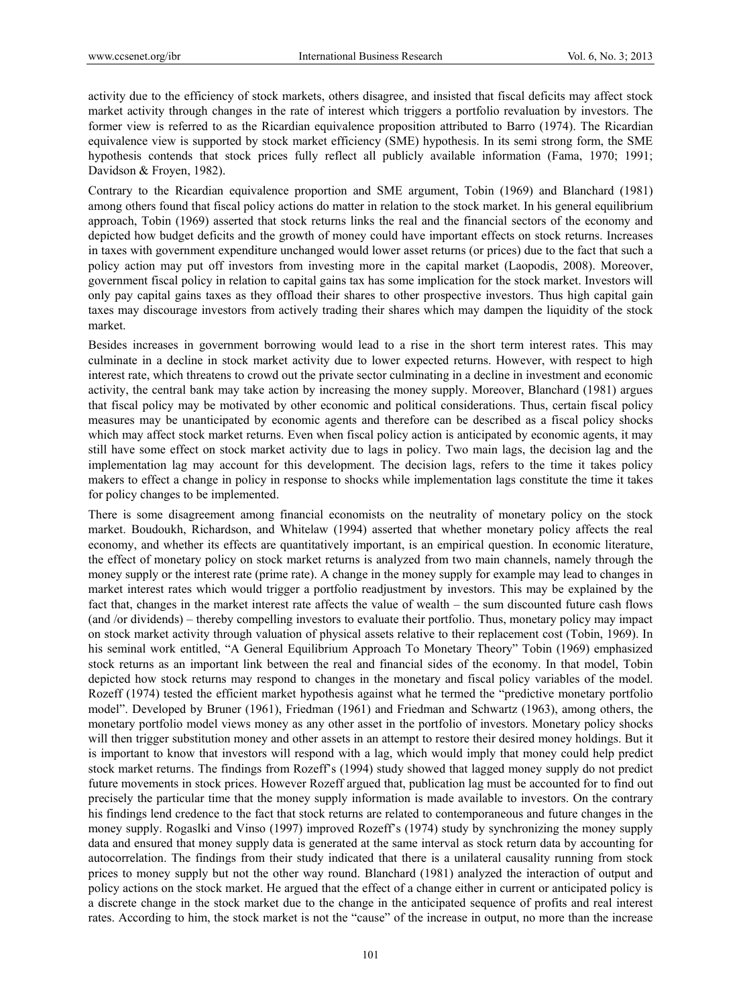activity due to the efficiency of stock markets, others disagree, and insisted that fiscal deficits may affect stock market activity through changes in the rate of interest which triggers a portfolio revaluation by investors. The former view is referred to as the Ricardian equivalence proposition attributed to Barro (1974). The Ricardian equivalence view is supported by stock market efficiency (SME) hypothesis. In its semi strong form, the SME hypothesis contends that stock prices fully reflect all publicly available information (Fama, 1970; 1991; Davidson & Froyen, 1982).

Contrary to the Ricardian equivalence proportion and SME argument, Tobin (1969) and Blanchard (1981) among others found that fiscal policy actions do matter in relation to the stock market. In his general equilibrium approach, Tobin (1969) asserted that stock returns links the real and the financial sectors of the economy and depicted how budget deficits and the growth of money could have important effects on stock returns. Increases in taxes with government expenditure unchanged would lower asset returns (or prices) due to the fact that such a policy action may put off investors from investing more in the capital market (Laopodis, 2008). Moreover, government fiscal policy in relation to capital gains tax has some implication for the stock market. Investors will only pay capital gains taxes as they offload their shares to other prospective investors. Thus high capital gain taxes may discourage investors from actively trading their shares which may dampen the liquidity of the stock market.

Besides increases in government borrowing would lead to a rise in the short term interest rates. This may culminate in a decline in stock market activity due to lower expected returns. However, with respect to high interest rate, which threatens to crowd out the private sector culminating in a decline in investment and economic activity, the central bank may take action by increasing the money supply. Moreover, Blanchard (1981) argues that fiscal policy may be motivated by other economic and political considerations. Thus, certain fiscal policy measures may be unanticipated by economic agents and therefore can be described as a fiscal policy shocks which may affect stock market returns. Even when fiscal policy action is anticipated by economic agents, it may still have some effect on stock market activity due to lags in policy. Two main lags, the decision lag and the implementation lag may account for this development. The decision lags, refers to the time it takes policy makers to effect a change in policy in response to shocks while implementation lags constitute the time it takes for policy changes to be implemented.

There is some disagreement among financial economists on the neutrality of monetary policy on the stock market. Boudoukh, Richardson, and Whitelaw (1994) asserted that whether monetary policy affects the real economy, and whether its effects are quantitatively important, is an empirical question. In economic literature, the effect of monetary policy on stock market returns is analyzed from two main channels, namely through the money supply or the interest rate (prime rate). A change in the money supply for example may lead to changes in market interest rates which would trigger a portfolio readjustment by investors. This may be explained by the fact that, changes in the market interest rate affects the value of wealth – the sum discounted future cash flows (and /or dividends) – thereby compelling investors to evaluate their portfolio. Thus, monetary policy may impact on stock market activity through valuation of physical assets relative to their replacement cost (Tobin, 1969). In his seminal work entitled, "A General Equilibrium Approach To Monetary Theory" Tobin (1969) emphasized stock returns as an important link between the real and financial sides of the economy. In that model, Tobin depicted how stock returns may respond to changes in the monetary and fiscal policy variables of the model. Rozeff (1974) tested the efficient market hypothesis against what he termed the "predictive monetary portfolio model". Developed by Bruner (1961), Friedman (1961) and Friedman and Schwartz (1963), among others, the monetary portfolio model views money as any other asset in the portfolio of investors. Monetary policy shocks will then trigger substitution money and other assets in an attempt to restore their desired money holdings. But it is important to know that investors will respond with a lag, which would imply that money could help predict stock market returns. The findings from Rozeff's (1994) study showed that lagged money supply do not predict future movements in stock prices. However Rozeff argued that, publication lag must be accounted for to find out precisely the particular time that the money supply information is made available to investors. On the contrary his findings lend credence to the fact that stock returns are related to contemporaneous and future changes in the money supply. Rogaslki and Vinso (1997) improved Rozeff's (1974) study by synchronizing the money supply data and ensured that money supply data is generated at the same interval as stock return data by accounting for autocorrelation. The findings from their study indicated that there is a unilateral causality running from stock prices to money supply but not the other way round. Blanchard (1981) analyzed the interaction of output and policy actions on the stock market. He argued that the effect of a change either in current or anticipated policy is a discrete change in the stock market due to the change in the anticipated sequence of profits and real interest rates. According to him, the stock market is not the "cause" of the increase in output, no more than the increase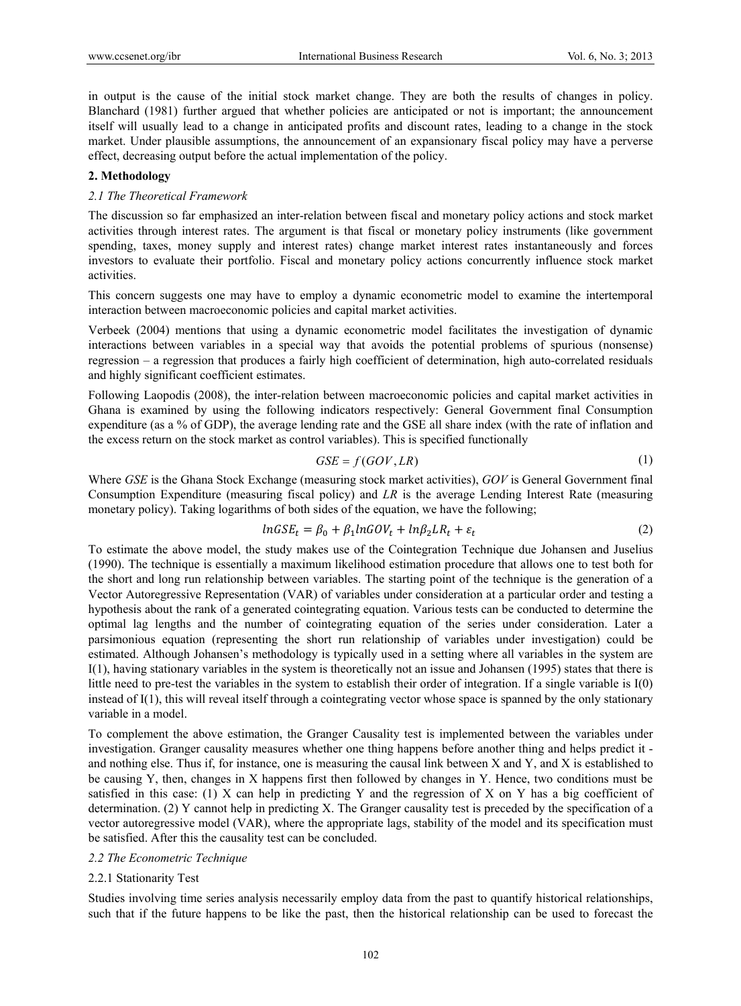in output is the cause of the initial stock market change. They are both the results of changes in policy. Blanchard (1981) further argued that whether policies are anticipated or not is important; the announcement itself will usually lead to a change in anticipated profits and discount rates, leading to a change in the stock market. Under plausible assumptions, the announcement of an expansionary fiscal policy may have a perverse effect, decreasing output before the actual implementation of the policy.

## **2. Methodology**

## *2.1 The Theoretical Framework*

The discussion so far emphasized an inter-relation between fiscal and monetary policy actions and stock market activities through interest rates. The argument is that fiscal or monetary policy instruments (like government spending, taxes, money supply and interest rates) change market interest rates instantaneously and forces investors to evaluate their portfolio. Fiscal and monetary policy actions concurrently influence stock market activities.

This concern suggests one may have to employ a dynamic econometric model to examine the intertemporal interaction between macroeconomic policies and capital market activities.

Verbeek (2004) mentions that using a dynamic econometric model facilitates the investigation of dynamic interactions between variables in a special way that avoids the potential problems of spurious (nonsense) regression – a regression that produces a fairly high coefficient of determination, high auto-correlated residuals and highly significant coefficient estimates.

Following Laopodis (2008), the inter-relation between macroeconomic policies and capital market activities in Ghana is examined by using the following indicators respectively: General Government final Consumption expenditure (as a % of GDP), the average lending rate and the GSE all share index (with the rate of inflation and the excess return on the stock market as control variables). This is specified functionally

$$
GSE = f(GOV, LR) \tag{1}
$$

Where *GSE* is the Ghana Stock Exchange (measuring stock market activities), *GOV* is General Government final Consumption Expenditure (measuring fiscal policy) and *LR* is the average Lending Interest Rate (measuring monetary policy). Taking logarithms of both sides of the equation, we have the following;

$$
ln GSE_t = \beta_0 + \beta_1 ln GOV_t + ln \beta_2 LR_t + \varepsilon_t
$$
\n(2)

To estimate the above model, the study makes use of the Cointegration Technique due Johansen and Juselius (1990). The technique is essentially a maximum likelihood estimation procedure that allows one to test both for the short and long run relationship between variables. The starting point of the technique is the generation of a Vector Autoregressive Representation (VAR) of variables under consideration at a particular order and testing a hypothesis about the rank of a generated cointegrating equation. Various tests can be conducted to determine the optimal lag lengths and the number of cointegrating equation of the series under consideration. Later a parsimonious equation (representing the short run relationship of variables under investigation) could be estimated. Although Johansen's methodology is typically used in a setting where all variables in the system are I(1), having stationary variables in the system is theoretically not an issue and Johansen (1995) states that there is little need to pre-test the variables in the system to establish their order of integration. If a single variable is I(0) instead of I(1), this will reveal itself through a cointegrating vector whose space is spanned by the only stationary variable in a model.

To complement the above estimation, the Granger Causality test is implemented between the variables under investigation. Granger causality measures whether one thing happens before another thing and helps predict it and nothing else. Thus if, for instance, one is measuring the causal link between X and Y, and X is established to be causing Y, then, changes in X happens first then followed by changes in Y. Hence, two conditions must be satisfied in this case: (1) X can help in predicting Y and the regression of X on Y has a big coefficient of determination. (2) Y cannot help in predicting X. The Granger causality test is preceded by the specification of a vector autoregressive model (VAR), where the appropriate lags, stability of the model and its specification must be satisfied. After this the causality test can be concluded.

## *2.2 The Econometric Technique*

## 2.2.1 Stationarity Test

Studies involving time series analysis necessarily employ data from the past to quantify historical relationships, such that if the future happens to be like the past, then the historical relationship can be used to forecast the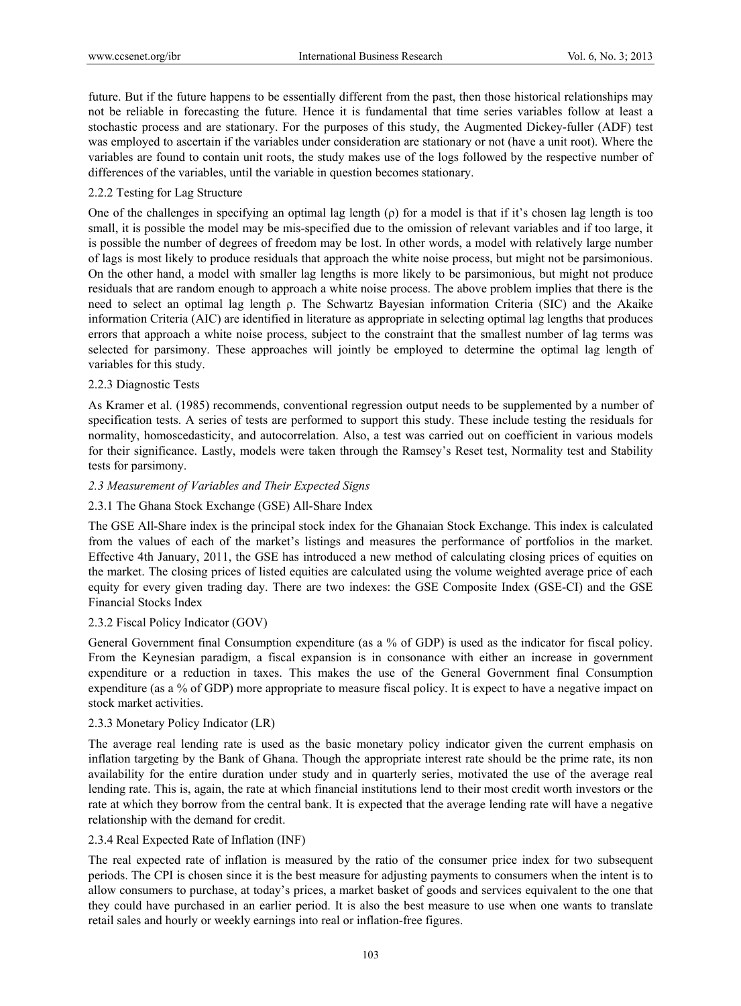future. But if the future happens to be essentially different from the past, then those historical relationships may not be reliable in forecasting the future. Hence it is fundamental that time series variables follow at least a stochastic process and are stationary. For the purposes of this study, the Augmented Dickey-fuller (ADF) test was employed to ascertain if the variables under consideration are stationary or not (have a unit root). Where the variables are found to contain unit roots, the study makes use of the logs followed by the respective number of differences of the variables, until the variable in question becomes stationary.

## 2.2.2 Testing for Lag Structure

One of the challenges in specifying an optimal lag length  $(\rho)$  for a model is that if it's chosen lag length is too small, it is possible the model may be mis-specified due to the omission of relevant variables and if too large, it is possible the number of degrees of freedom may be lost. In other words, a model with relatively large number of lags is most likely to produce residuals that approach the white noise process, but might not be parsimonious. On the other hand, a model with smaller lag lengths is more likely to be parsimonious, but might not produce residuals that are random enough to approach a white noise process. The above problem implies that there is the need to select an optimal lag length ρ. The Schwartz Bayesian information Criteria (SIC) and the Akaike information Criteria (AIC) are identified in literature as appropriate in selecting optimal lag lengths that produces errors that approach a white noise process, subject to the constraint that the smallest number of lag terms was selected for parsimony. These approaches will jointly be employed to determine the optimal lag length of variables for this study.

# 2.2.3 Diagnostic Tests

As Kramer et al. (1985) recommends, conventional regression output needs to be supplemented by a number of specification tests. A series of tests are performed to support this study. These include testing the residuals for normality, homoscedasticity, and autocorrelation. Also, a test was carried out on coefficient in various models for their significance. Lastly, models were taken through the Ramsey's Reset test, Normality test and Stability tests for parsimony.

# *2.3 Measurement of Variables and Their Expected Signs*

# 2.3.1 The Ghana Stock Exchange (GSE) All-Share Index

The GSE All-Share index is the principal stock index for the Ghanaian Stock Exchange. This index is calculated from the values of each of the market's listings and measures the performance of portfolios in the market. Effective 4th January, 2011, the GSE has introduced a new method of calculating closing prices of equities on the market. The closing prices of listed equities are calculated using the volume weighted average price of each equity for every given trading day. There are two indexes: the GSE Composite Index (GSE-CI) and the GSE Financial Stocks Index

## 2.3.2 Fiscal Policy Indicator (GOV)

General Government final Consumption expenditure (as a % of GDP) is used as the indicator for fiscal policy. From the Keynesian paradigm, a fiscal expansion is in consonance with either an increase in government expenditure or a reduction in taxes. This makes the use of the General Government final Consumption expenditure (as a % of GDP) more appropriate to measure fiscal policy. It is expect to have a negative impact on stock market activities.

## 2.3.3 Monetary Policy Indicator (LR)

The average real lending rate is used as the basic monetary policy indicator given the current emphasis on inflation targeting by the Bank of Ghana. Though the appropriate interest rate should be the prime rate, its non availability for the entire duration under study and in quarterly series, motivated the use of the average real lending rate. This is, again, the rate at which financial institutions lend to their most credit worth investors or the rate at which they borrow from the central bank. It is expected that the average lending rate will have a negative relationship with the demand for credit.

# 2.3.4 Real Expected Rate of Inflation (INF)

The real expected rate of inflation is measured by the ratio of the consumer price index for two subsequent periods. The CPI is chosen since it is the best measure for adjusting payments to consumers when the intent is to allow consumers to purchase, at today's prices, a market basket of goods and services equivalent to the one that they could have purchased in an earlier period. It is also the best measure to use when one wants to translate retail sales and hourly or weekly earnings into real or inflation-free figures.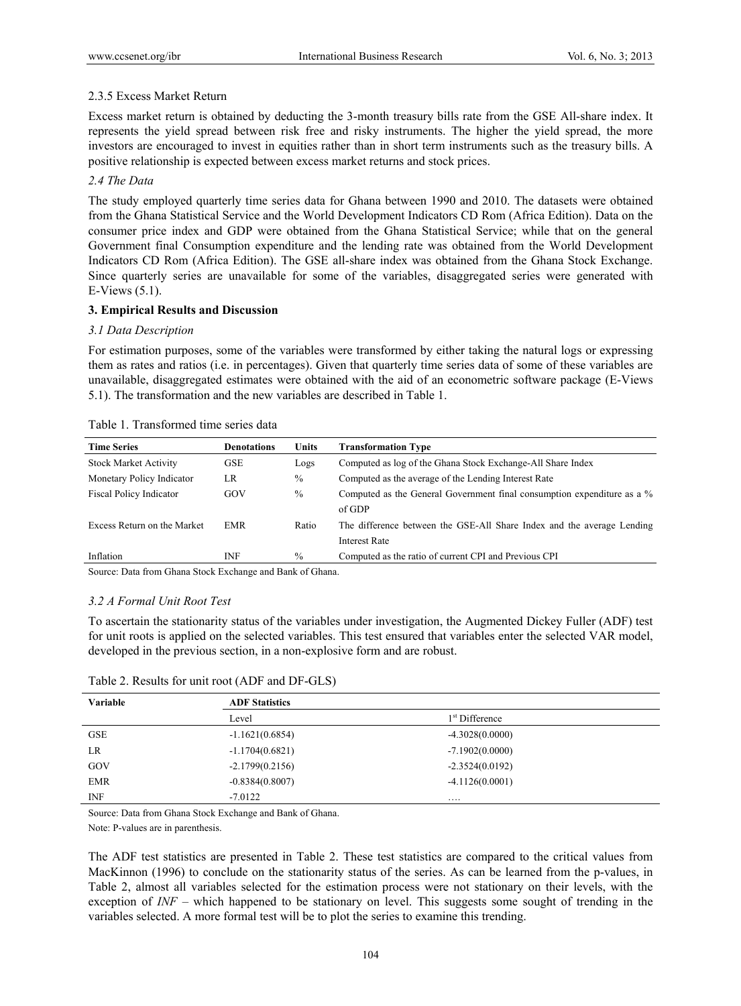# 2.3.5 Excess Market Return

Excess market return is obtained by deducting the 3-month treasury bills rate from the GSE All-share index. It represents the yield spread between risk free and risky instruments. The higher the yield spread, the more investors are encouraged to invest in equities rather than in short term instruments such as the treasury bills. A positive relationship is expected between excess market returns and stock prices.

# *2.4 The Data*

The study employed quarterly time series data for Ghana between 1990 and 2010. The datasets were obtained from the Ghana Statistical Service and the World Development Indicators CD Rom (Africa Edition). Data on the consumer price index and GDP were obtained from the Ghana Statistical Service; while that on the general Government final Consumption expenditure and the lending rate was obtained from the World Development Indicators CD Rom (Africa Edition). The GSE all-share index was obtained from the Ghana Stock Exchange. Since quarterly series are unavailable for some of the variables, disaggregated series were generated with E-Views (5.1).

# **3. Empirical Results and Discussion**

## *3.1 Data Description*

For estimation purposes, some of the variables were transformed by either taking the natural logs or expressing them as rates and ratios (i.e. in percentages). Given that quarterly time series data of some of these variables are unavailable, disaggregated estimates were obtained with the aid of an econometric software package (E-Views 5.1). The transformation and the new variables are described in Table 1.

| <b>Time Series</b>                                       | <b>Denotations</b> | <b>Units</b> | <b>Transformation Type</b>                                              |
|----------------------------------------------------------|--------------------|--------------|-------------------------------------------------------------------------|
| <b>Stock Market Activity</b>                             | <b>GSE</b>         | Logs         | Computed as log of the Ghana Stock Exchange-All Share Index             |
| Monetary Policy Indicator                                | LR                 | $\%$         | Computed as the average of the Lending Interest Rate                    |
| <b>Fiscal Policy Indicator</b>                           | GOV                | $\%$         | Computed as the General Government final consumption expenditure as a % |
|                                                          |                    |              | of GDP                                                                  |
| Excess Return on the Market                              | <b>EMR</b>         | Ratio        | The difference between the GSE-All Share Index and the average Lending  |
|                                                          |                    |              | <b>Interest Rate</b>                                                    |
| Inflation                                                | INF                | $\%$         | Computed as the ratio of current CPI and Previous CPI                   |
| Source: Data from Ghana Stock Exchange and Bank of Ghana |                    |              |                                                                         |

| Table 1. Transformed time series data |  |  |
|---------------------------------------|--|--|
|---------------------------------------|--|--|

Source: Data from Gh

# *3.2 A Formal Unit Root Test*

To ascertain the stationarity status of the variables under investigation, the Augmented Dickey Fuller (ADF) test for unit roots is applied on the selected variables. This test ensured that variables enter the selected VAR model, developed in the previous section, in a non-explosive form and are robust.

|  |  | Table 2. Results for unit root (ADF and DF-GLS) |
|--|--|-------------------------------------------------|
|--|--|-------------------------------------------------|

| Variable   | <b>ADF Statistics</b> |                            |  |
|------------|-----------------------|----------------------------|--|
|            | Level                 | 1 <sup>st</sup> Difference |  |
| <b>GSE</b> | $-1.1621(0.6854)$     | $-4.3028(0.0000)$          |  |
| LR.        | $-1.1704(0.6821)$     | $-7.1902(0.0000)$          |  |
| GOV        | $-2.1799(0.2156)$     | $-2.3524(0.0192)$          |  |
| <b>EMR</b> | $-0.8384(0.8007)$     | $-4.1126(0.0001)$          |  |
| <b>INF</b> | $-7.0122$             | .                          |  |

Source: Data from Ghana Stock Exchange and Bank of Ghana.

Note: P-values are in parenthesis.

The ADF test statistics are presented in Table 2. These test statistics are compared to the critical values from MacKinnon (1996) to conclude on the stationarity status of the series. As can be learned from the p-values, in Table 2, almost all variables selected for the estimation process were not stationary on their levels, with the exception of *INF* – which happened to be stationary on level. This suggests some sought of trending in the variables selected. A more formal test will be to plot the series to examine this trending.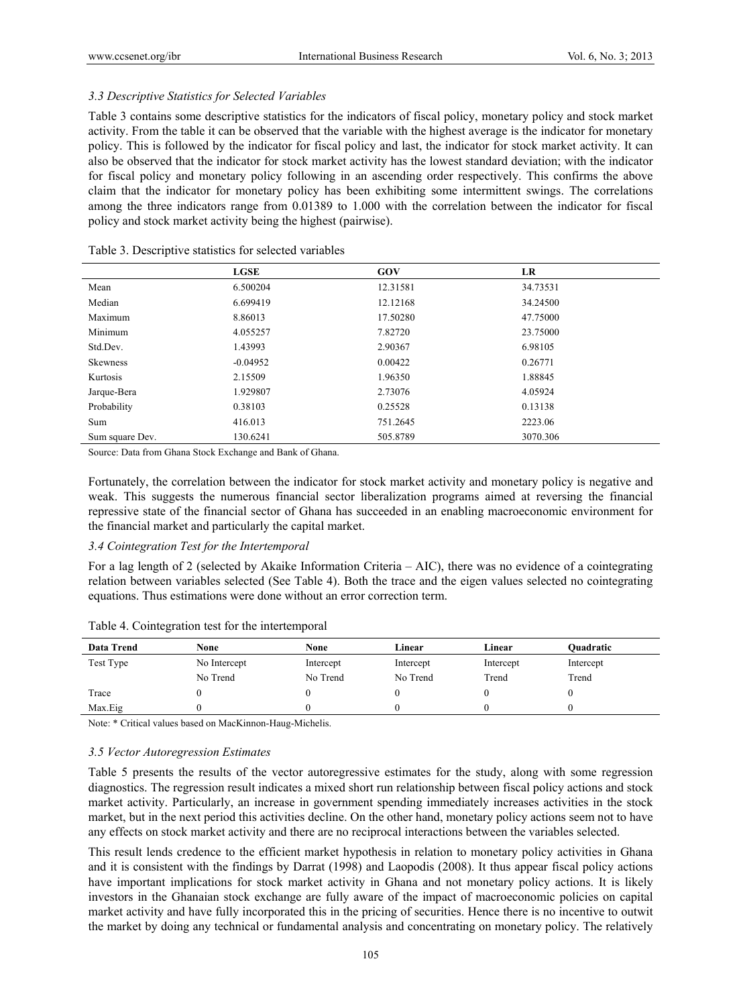# *3.3 Descriptive Statistics for Selected Variables*

Table 3 contains some descriptive statistics for the indicators of fiscal policy, monetary policy and stock market activity. From the table it can be observed that the variable with the highest average is the indicator for monetary policy. This is followed by the indicator for fiscal policy and last, the indicator for stock market activity. It can also be observed that the indicator for stock market activity has the lowest standard deviation; with the indicator for fiscal policy and monetary policy following in an ascending order respectively. This confirms the above claim that the indicator for monetary policy has been exhibiting some intermittent swings. The correlations among the three indicators range from 0.01389 to 1.000 with the correlation between the indicator for fiscal policy and stock market activity being the highest (pairwise).

|                 | LGSE       | GOV      | LR       |
|-----------------|------------|----------|----------|
| Mean            | 6.500204   | 12.31581 | 34.73531 |
| Median          | 6.699419   | 12.12168 | 34.24500 |
| Maximum         | 8.86013    | 17.50280 | 47.75000 |
| Minimum         | 4.055257   | 7.82720  | 23.75000 |
| Std.Dev.        | 1.43993    | 2.90367  | 6.98105  |
| <b>Skewness</b> | $-0.04952$ | 0.00422  | 0.26771  |
| Kurtosis        | 2.15509    | 1.96350  | 1.88845  |
| Jarque-Bera     | 1.929807   | 2.73076  | 4.05924  |
| Probability     | 0.38103    | 0.25528  | 0.13138  |
| Sum             | 416.013    | 751.2645 | 2223.06  |
| Sum square Dev. | 130.6241   | 505.8789 | 3070.306 |

Table 3. Descriptive statistics for selected variables

Source: Data from Ghana Stock Exchange and Bank of Ghana.

Fortunately, the correlation between the indicator for stock market activity and monetary policy is negative and weak. This suggests the numerous financial sector liberalization programs aimed at reversing the financial repressive state of the financial sector of Ghana has succeeded in an enabling macroeconomic environment for the financial market and particularly the capital market.

## *3.4 Cointegration Test for the Intertemporal*

For a lag length of 2 (selected by Akaike Information Criteria – AIC), there was no evidence of a cointegrating relation between variables selected (See Table 4). Both the trace and the eigen values selected no cointegrating equations. Thus estimations were done without an error correction term.

| Data Trend | None         | None      | Linear    | Linear    | Ouadratic |
|------------|--------------|-----------|-----------|-----------|-----------|
| Test Type  | No Intercept | Intercept | Intercept | Intercept | Intercept |
|            | No Trend     | No Trend  | No Trend  | Trend     | Trend     |
| Trace      |              |           |           |           |           |
| Max.Eig    |              |           |           |           |           |

Table 4. Cointegration test for the intertemporal

Note: \* Critical values based on MacKinnon-Haug-Michelis.

## *3.5 Vector Autoregression Estimates*

Table 5 presents the results of the vector autoregressive estimates for the study, along with some regression diagnostics. The regression result indicates a mixed short run relationship between fiscal policy actions and stock market activity. Particularly, an increase in government spending immediately increases activities in the stock market, but in the next period this activities decline. On the other hand, monetary policy actions seem not to have any effects on stock market activity and there are no reciprocal interactions between the variables selected.

This result lends credence to the efficient market hypothesis in relation to monetary policy activities in Ghana and it is consistent with the findings by Darrat (1998) and Laopodis (2008). It thus appear fiscal policy actions have important implications for stock market activity in Ghana and not monetary policy actions. It is likely investors in the Ghanaian stock exchange are fully aware of the impact of macroeconomic policies on capital market activity and have fully incorporated this in the pricing of securities. Hence there is no incentive to outwit the market by doing any technical or fundamental analysis and concentrating on monetary policy. The relatively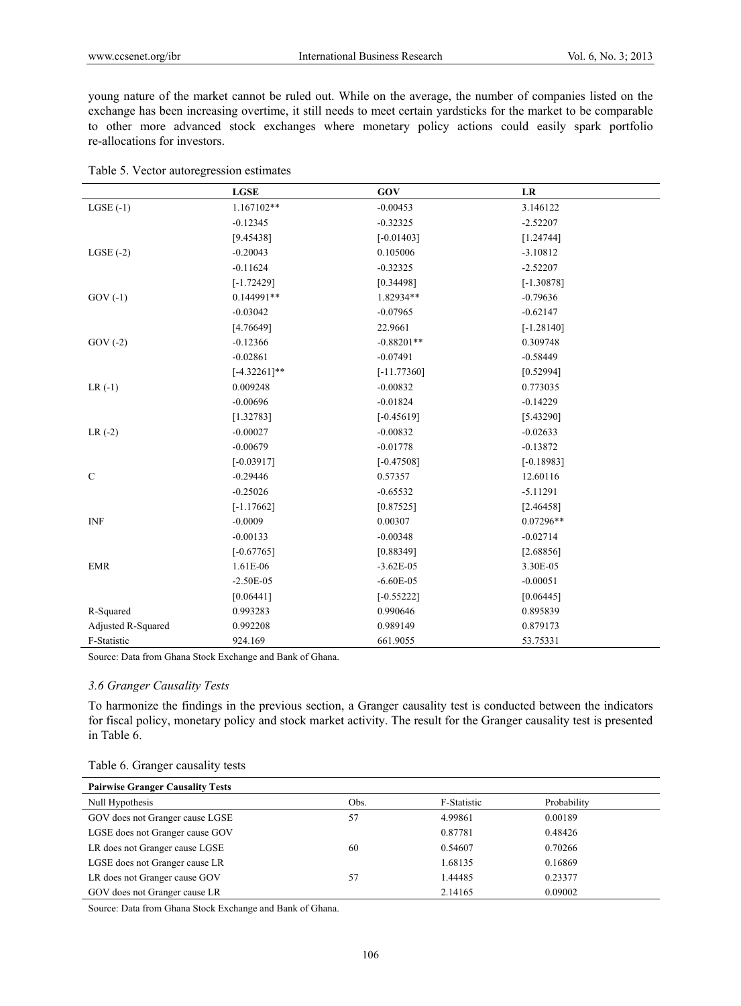young nature of the market cannot be ruled out. While on the average, the number of companies listed on the exchange has been increasing overtime, it still needs to meet certain yardsticks for the market to be comparable to other more advanced stock exchanges where monetary policy actions could easily spark portfolio re-allocations for investors.

|                    | <b>LGSE</b>     | GOV           | LR           |
|--------------------|-----------------|---------------|--------------|
| $LGSE(-1)$         | 1.167102**      | $-0.00453$    | 3.146122     |
|                    | $-0.12345$      | $-0.32325$    | $-2.52207$   |
|                    | [9.45438]       | $[-0.01403]$  | [1.24744]    |
| LGSE $(-2)$        | $-0.20043$      | 0.105006      | $-3.10812$   |
|                    | $-0.11624$      | $-0.32325$    | $-2.52207$   |
|                    | $[-1.72429]$    | [0.34498]     | $[-1.30878]$ |
| $GOV(-1)$          | 0.144991**      | 1.82934**     | $-0.79636$   |
|                    | $-0.03042$      | $-0.07965$    | $-0.62147$   |
|                    | [4.76649]       | 22.9661       | $[-1.28140]$ |
| $GOV(-2)$          | $-0.12366$      | $-0.88201**$  | 0.309748     |
|                    | $-0.02861$      | $-0.07491$    | $-0.58449$   |
|                    | $[-4.32261]$ ** | $[-11.77360]$ | [0.52994]    |
| $LR(-1)$           | 0.009248        | $-0.00832$    | 0.773035     |
|                    | $-0.00696$      | $-0.01824$    | $-0.14229$   |
|                    | [1.32783]       | $[-0.45619]$  | [5.43290]    |
| $LR(-2)$           | $-0.00027$      | $-0.00832$    | $-0.02633$   |
|                    | $-0.00679$      | $-0.01778$    | $-0.13872$   |
|                    | $[-0.03917]$    | $[-0.47508]$  | $[-0.18983]$ |
| $\mathbf C$        | $-0.29446$      | 0.57357       | 12.60116     |
|                    | $-0.25026$      | $-0.65532$    | $-5.11291$   |
|                    | $[-1.17662]$    | [0.87525]     | [2.46458]    |
| <b>INF</b>         | $-0.0009$       | 0.00307       | $0.07296**$  |
|                    | $-0.00133$      | $-0.00348$    | $-0.02714$   |
|                    | $[-0.67765]$    | [0.88349]     | [2.68856]    |
| <b>EMR</b>         | 1.61E-06        | $-3.62E-05$   | 3.30E-05     |
|                    | $-2.50E-05$     | $-6.60E-05$   | $-0.00051$   |
|                    | [0.06441]       | $[-0.55222]$  | [0.06445]    |
| R-Squared          | 0.993283        | 0.990646      | 0.895839     |
| Adjusted R-Squared | 0.992208        | 0.989149      | 0.879173     |
| F-Statistic        | 924.169         | 661.9055      | 53.75331     |

Table 5. Vector autoregression estimates

Source: Data from Ghana Stock Exchange and Bank of Ghana.

#### *3.6 Granger Causality Tests*

To harmonize the findings in the previous section, a Granger causality test is conducted between the indicators for fiscal policy, monetary policy and stock market activity. The result for the Granger causality test is presented in Table 6.

| <b>Pairwise Granger Causality Tests</b> |      |             |             |
|-----------------------------------------|------|-------------|-------------|
| Null Hypothesis                         | Obs. | F-Statistic | Probability |
| GOV does not Granger cause LGSE         | 57   | 4.99861     | 0.00189     |
| LGSE does not Granger cause GOV         |      | 0.87781     | 0.48426     |
| LR does not Granger cause LGSE          | 60   | 0.54607     | 0.70266     |
| LGSE does not Granger cause LR          |      | 1.68135     | 0.16869     |
| LR does not Granger cause GOV           | 57   | 1.44485     | 0.23377     |
| GOV does not Granger cause LR           |      | 2.14165     | 0.09002     |

## Table 6. Granger causality tests

Source: Data from Ghana Stock Exchange and Bank of Ghana.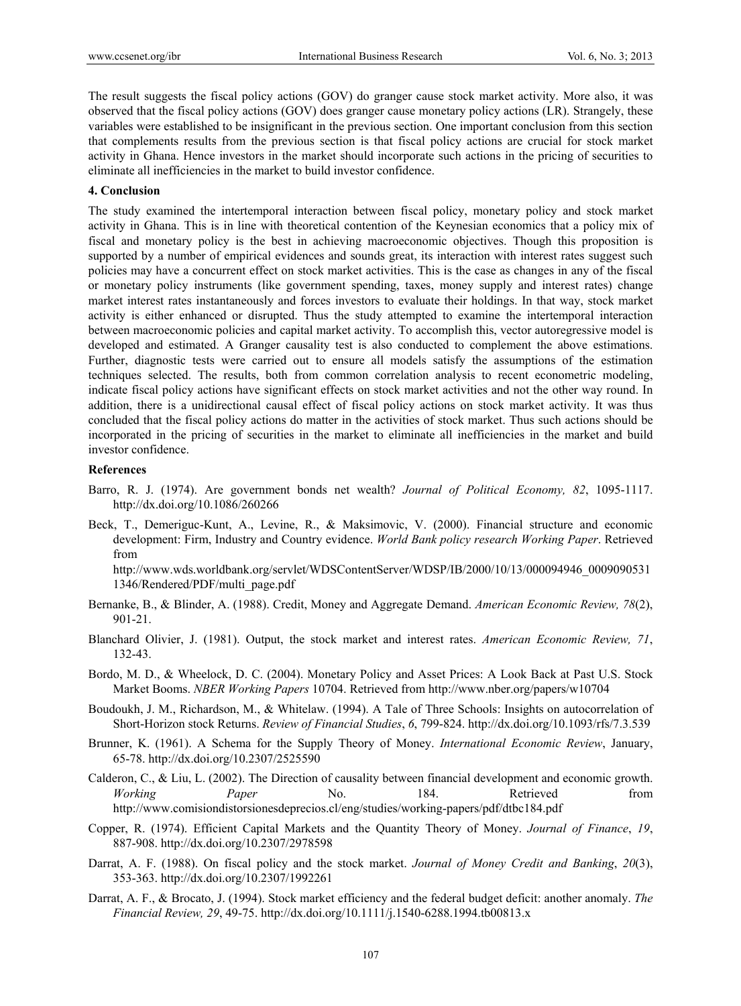The result suggests the fiscal policy actions (GOV) do granger cause stock market activity. More also, it was observed that the fiscal policy actions (GOV) does granger cause monetary policy actions (LR). Strangely, these variables were established to be insignificant in the previous section. One important conclusion from this section that complements results from the previous section is that fiscal policy actions are crucial for stock market activity in Ghana. Hence investors in the market should incorporate such actions in the pricing of securities to eliminate all inefficiencies in the market to build investor confidence.

## **4. Conclusion**

The study examined the intertemporal interaction between fiscal policy, monetary policy and stock market activity in Ghana. This is in line with theoretical contention of the Keynesian economics that a policy mix of fiscal and monetary policy is the best in achieving macroeconomic objectives. Though this proposition is supported by a number of empirical evidences and sounds great, its interaction with interest rates suggest such policies may have a concurrent effect on stock market activities. This is the case as changes in any of the fiscal or monetary policy instruments (like government spending, taxes, money supply and interest rates) change market interest rates instantaneously and forces investors to evaluate their holdings. In that way, stock market activity is either enhanced or disrupted. Thus the study attempted to examine the intertemporal interaction between macroeconomic policies and capital market activity. To accomplish this, vector autoregressive model is developed and estimated. A Granger causality test is also conducted to complement the above estimations. Further, diagnostic tests were carried out to ensure all models satisfy the assumptions of the estimation techniques selected. The results, both from common correlation analysis to recent econometric modeling, indicate fiscal policy actions have significant effects on stock market activities and not the other way round. In addition, there is a unidirectional causal effect of fiscal policy actions on stock market activity. It was thus concluded that the fiscal policy actions do matter in the activities of stock market. Thus such actions should be incorporated in the pricing of securities in the market to eliminate all inefficiencies in the market and build investor confidence.

# **References**

- Barro, R. J. (1974). Are government bonds net wealth? *Journal of Political Economy, 82*, 1095-1117. http://dx.doi.org/10.1086/260266
- Beck, T., Demeriguc-Kunt, A., Levine, R., & Maksimovic, V. (2000). Financial structure and economic development: Firm, Industry and Country evidence. *World Bank policy research Working Paper*. Retrieved from

http://www.wds.worldbank.org/servlet/WDSContentServer/WDSP/IB/2000/10/13/000094946\_0009090531 1346/Rendered/PDF/multi\_page.pdf

- Bernanke, B., & Blinder, A. (1988). Credit, Money and Aggregate Demand. *American Economic Review, 78*(2), 901-21.
- Blanchard Olivier, J. (1981). Output, the stock market and interest rates. *American Economic Review, 71*, 132-43.
- Bordo, M. D., & Wheelock, D. C. (2004). Monetary Policy and Asset Prices: A Look Back at Past U.S. Stock Market Booms. *NBER Working Papers* 10704. Retrieved from http://www.nber.org/papers/w10704
- Boudoukh, J. M., Richardson, M., & Whitelaw. (1994). A Tale of Three Schools: Insights on autocorrelation of Short-Horizon stock Returns. *Review of Financial Studies*, *6*, 799-824. http://dx.doi.org/10.1093/rfs/7.3.539
- Brunner, K. (1961). A Schema for the Supply Theory of Money. *International Economic Review*, January, 65-78. http://dx.doi.org/10.2307/2525590
- Calderon, C., & Liu, L. (2002). The Direction of causality between financial development and economic growth. *Working Paper* No. 184. Retrieved from http://www.comisiondistorsionesdeprecios.cl/eng/studies/working-papers/pdf/dtbc184.pdf
- Copper, R. (1974). Efficient Capital Markets and the Quantity Theory of Money. *Journal of Finance*, *19*, 887-908. http://dx.doi.org/10.2307/2978598
- Darrat, A. F. (1988). On fiscal policy and the stock market. *Journal of Money Credit and Banking*, *20*(3), 353-363. http://dx.doi.org/10.2307/1992261
- Darrat, A. F., & Brocato, J. (1994). Stock market efficiency and the federal budget deficit: another anomaly. *The Financial Review, 29*, 49-75. http://dx.doi.org/10.1111/j.1540-6288.1994.tb00813.x